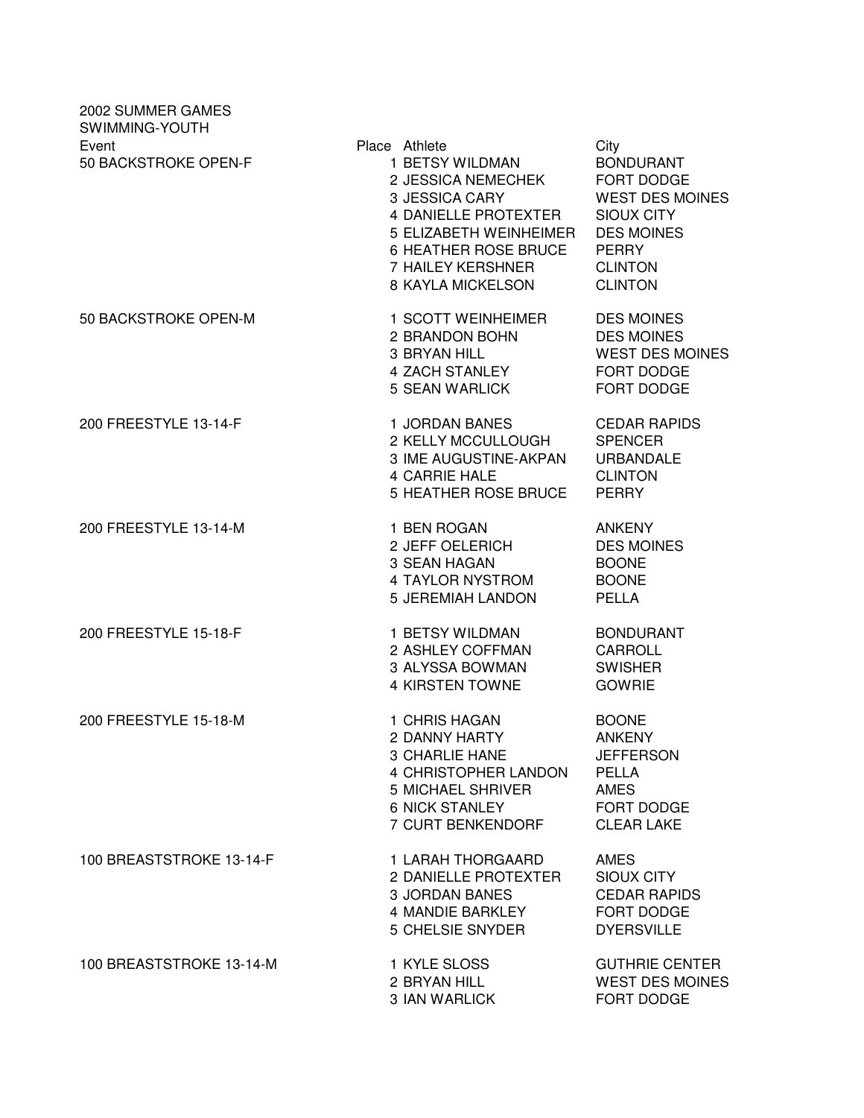| 2002 SUMMER GAMES<br>SWIMMING-YOUTH |                                                                                                                                                                                                     |                                                                                                                                                  |
|-------------------------------------|-----------------------------------------------------------------------------------------------------------------------------------------------------------------------------------------------------|--------------------------------------------------------------------------------------------------------------------------------------------------|
| Event<br>50 BACKSTROKE OPEN-F       | Place Athlete<br>1 BETSY WILDMAN<br>2 JESSICA NEMECHEK<br><b>3 JESSICA CARY</b><br>4 DANIELLE PROTEXTER<br>5 ELIZABETH WEINHEIMER<br>6 HEATHER ROSE BRUCE<br>7 HAILEY KERSHNER<br>8 KAYLA MICKELSON | City<br><b>BONDURANT</b><br>FORT DODGE<br><b>WEST DES MOINES</b><br>SIOUX CITY<br><b>DES MOINES</b><br>PERRY<br><b>CLINTON</b><br><b>CLINTON</b> |
| 50 BACKSTROKE OPEN-M                | 1 SCOTT WEINHEIMER<br>2 BRANDON BOHN<br>3 BRYAN HILL<br>4 ZACH STANLEY<br>5 SEAN WARLICK                                                                                                            | <b>DES MOINES</b><br><b>DES MOINES</b><br><b>WEST DES MOINES</b><br>FORT DODGE<br>FORT DODGE                                                     |
| 200 FREESTYLE 13-14-F               | 1 JORDAN BANES<br>2 KELLY MCCULLOUGH<br>3 IME AUGUSTINE-AKPAN<br>4 CARRIE HALE<br>5 HEATHER ROSE BRUCE                                                                                              | <b>CEDAR RAPIDS</b><br><b>SPENCER</b><br><b>URBANDALE</b><br><b>CLINTON</b><br><b>PERRY</b>                                                      |
| 200 FREESTYLE 13-14-M               | 1 BEN ROGAN<br>2 JEFF OELERICH<br>3 SEAN HAGAN<br>4 TAYLOR NYSTROM<br>5 JEREMIAH LANDON                                                                                                             | <b>ANKENY</b><br><b>DES MOINES</b><br><b>BOONE</b><br><b>BOONE</b><br><b>PELLA</b>                                                               |
| 200 FREESTYLE 15-18-F               | 1 BETSY WILDMAN<br>2 ASHLEY COFFMAN<br>3 ALYSSA BOWMAN<br>4 KIRSTEN TOWNE                                                                                                                           | <b>BONDURANT</b><br>CARROLL<br><b>SWISHER</b><br><b>GOWRIE</b>                                                                                   |
| 200 FREESTYLE 15-18-M               | 1 CHRIS HAGAN<br>2 DANNY HARTY<br>3 CHARLIE HANE<br>4 CHRISTOPHER LANDON<br>5 MICHAEL SHRIVER<br>6 NICK STANLEY<br>7 CURT BENKENDORF                                                                | <b>BOONE</b><br><b>ANKENY</b><br><b>JEFFERSON</b><br>PELLA<br>AMES<br>FORT DODGE<br><b>CLEAR LAKE</b>                                            |
| 100 BREASTSTROKE 13-14-F            | 1 LARAH THORGAARD<br>2 DANIELLE PROTEXTER<br><b>3 JORDAN BANES</b><br>4 MANDIE BARKLEY<br><b>5 CHELSIE SNYDER</b>                                                                                   | AMES<br>SIOUX CITY<br><b>CEDAR RAPIDS</b><br>FORT DODGE<br><b>DYERSVILLE</b>                                                                     |
| 100 BREASTSTROKE 13-14-M            | 1 KYLE SLOSS<br>2 BRYAN HILL<br>3 IAN WARLICK                                                                                                                                                       | <b>GUTHRIE CENTER</b><br><b>WEST DES MOINES</b><br>FORT DODGE                                                                                    |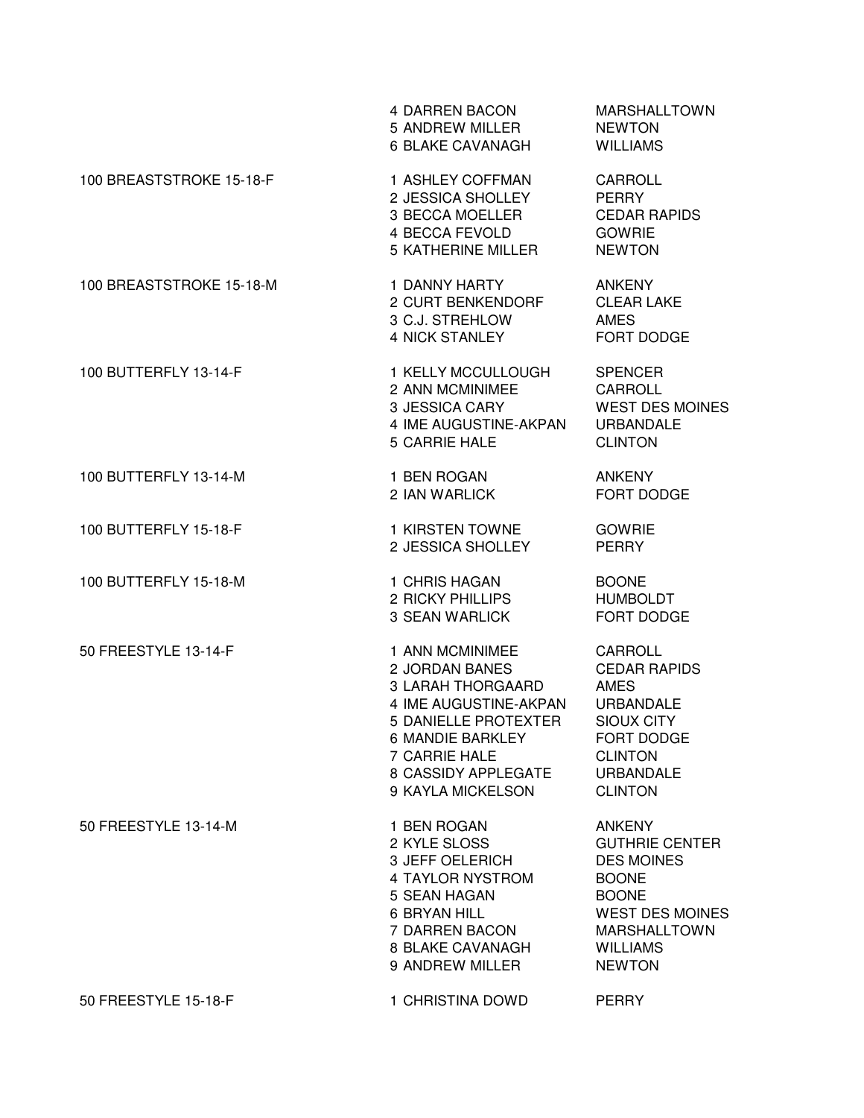|                          | 4 DARREN BACON<br>5 ANDREW MILLER<br>6 BLAKE CAVANAGH                                                                                                                                    | <b>MARSHALLTOWN</b><br><b>NEWTON</b><br><b>WILLIAMS</b>                                                                                                                          |
|--------------------------|------------------------------------------------------------------------------------------------------------------------------------------------------------------------------------------|----------------------------------------------------------------------------------------------------------------------------------------------------------------------------------|
| 100 BREASTSTROKE 15-18-F | 1 ASHLEY COFFMAN<br>2 JESSICA SHOLLEY<br>3 BECCA MOELLER<br>4 BECCA FEVOLD<br>5 KATHERINE MILLER                                                                                         | CARROLL<br><b>PERRY</b><br><b>CEDAR RAPIDS</b><br><b>GOWRIE</b><br><b>NEWTON</b>                                                                                                 |
| 100 BREASTSTROKE 15-18-M | 1 DANNY HARTY<br>2 CURT BENKENDORF<br>3 C.J. STREHLOW<br>4 NICK STANLEY                                                                                                                  | ANKENY<br><b>CLEAR LAKE</b><br><b>AMES</b><br>FORT DODGE                                                                                                                         |
| 100 BUTTERFLY 13-14-F    | 1 KELLY MCCULLOUGH<br>2 ANN MCMINIMEE<br>3 JESSICA CARY<br>4 IME AUGUSTINE-AKPAN<br><b>5 CARRIE HALE</b>                                                                                 | <b>SPENCER</b><br><b>CARROLL</b><br><b>WEST DES MOINES</b><br><b>URBANDALE</b><br><b>CLINTON</b>                                                                                 |
| 100 BUTTERFLY 13-14-M    | 1 BEN ROGAN<br>2 IAN WARLICK                                                                                                                                                             | <b>ANKENY</b><br>FORT DODGE                                                                                                                                                      |
| 100 BUTTERFLY 15-18-F    | 1 KIRSTEN TOWNE<br>2 JESSICA SHOLLEY                                                                                                                                                     | <b>GOWRIE</b><br><b>PERRY</b>                                                                                                                                                    |
| 100 BUTTERFLY 15-18-M    | 1 CHRIS HAGAN<br>2 RICKY PHILLIPS<br><b>3 SEAN WARLICK</b>                                                                                                                               | <b>BOONE</b><br><b>HUMBOLDT</b><br>FORT DODGE                                                                                                                                    |
| 50 FREESTYLE 13-14-F     | 1 ANN MCMINIMEE<br>2 JORDAN BANES<br>3 LARAH THORGAARD<br>4 IME AUGUSTINE-AKPAN<br>5 DANIELLE PROTEXTER<br>6 MANDIE BARKLEY<br>7 CARRIE HALE<br>8 CASSIDY APPLEGATE<br>9 KAYLA MICKELSON | CARROLL<br><b>CEDAR RAPIDS</b><br><b>AMES</b><br>URBANDALE<br><b>SIOUX CITY</b><br>FORT DODGE<br><b>CLINTON</b><br><b>URBANDALE</b><br><b>CLINTON</b>                            |
| 50 FREESTYLE 13-14-M     | 1 BEN ROGAN<br>2 KYLE SLOSS<br>3 JEFF OELERICH<br>4 TAYLOR NYSTROM<br>5 SEAN HAGAN<br><b>6 BRYAN HILL</b><br>7 DARREN BACON<br>8 BLAKE CAVANAGH<br>9 ANDREW MILLER                       | <b>ANKENY</b><br><b>GUTHRIE CENTER</b><br><b>DES MOINES</b><br><b>BOONE</b><br><b>BOONE</b><br><b>WEST DES MOINES</b><br><b>MARSHALLTOWN</b><br><b>WILLIAMS</b><br><b>NEWTON</b> |
| 50 FREESTYLE 15-18-F     | 1 CHRISTINA DOWD                                                                                                                                                                         | <b>PERRY</b>                                                                                                                                                                     |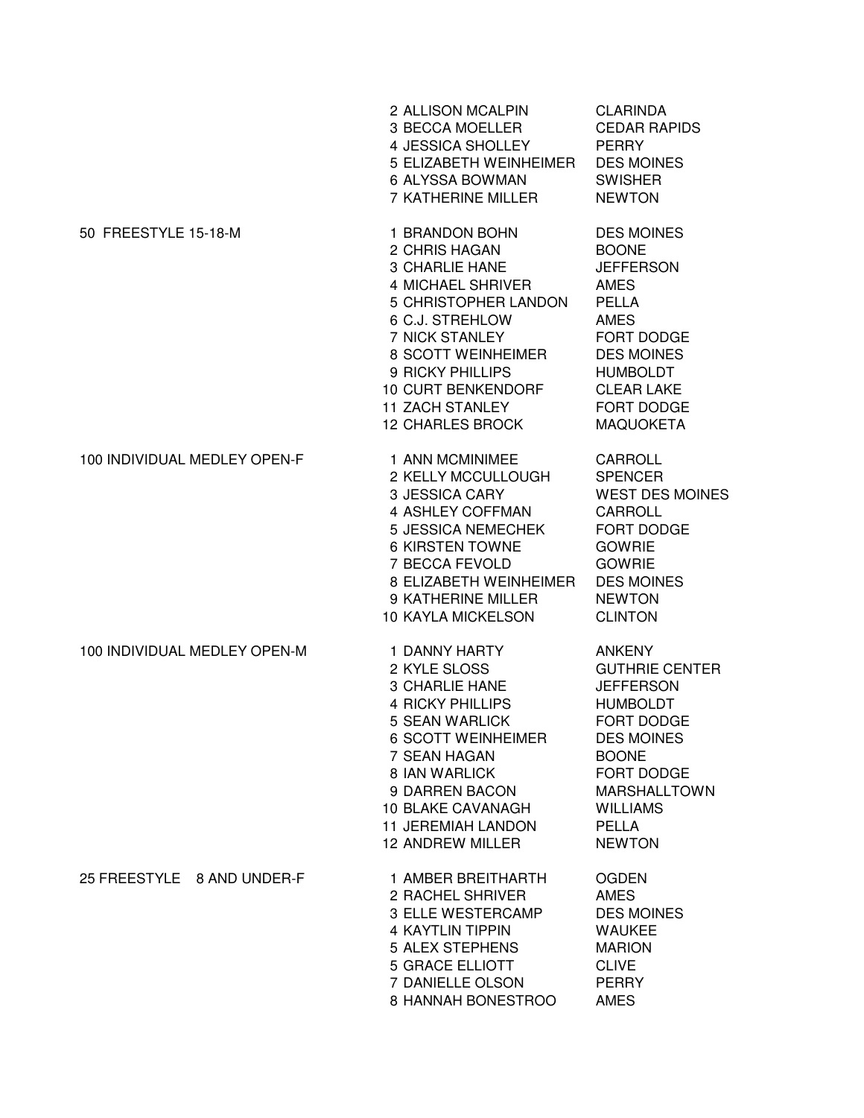|                              | 2 ALLISON MCALPIN<br>3 BECCA MOELLER<br>4 JESSICA SHOLLEY<br>5 ELIZABETH WEINHEIMER<br>6 ALYSSA BOWMAN<br>7 KATHERINE MILLER                                                                                                                                            | <b>CLARINDA</b><br><b>CEDAR RAPIDS</b><br><b>PERRY</b><br><b>DES MOINES</b><br><b>SWISHER</b><br><b>NEWTON</b>                                                                                                            |
|------------------------------|-------------------------------------------------------------------------------------------------------------------------------------------------------------------------------------------------------------------------------------------------------------------------|---------------------------------------------------------------------------------------------------------------------------------------------------------------------------------------------------------------------------|
| 50 FREESTYLE 15-18-M         | 1 BRANDON BOHN<br>2 CHRIS HAGAN<br><b>3 CHARLIE HANE</b><br>4 MICHAEL SHRIVER<br>5 CHRISTOPHER LANDON<br>6 C.J. STREHLOW<br><b>7 NICK STANLEY</b><br>8 SCOTT WEINHEIMER<br>9 RICKY PHILLIPS<br>10 CURT BENKENDORF<br><b>11 ZACH STANLEY</b><br><b>12 CHARLES BROCK</b>  | <b>DES MOINES</b><br><b>BOONE</b><br><b>JEFFERSON</b><br><b>AMES</b><br><b>PELLA</b><br><b>AMES</b><br>FORT DODGE<br><b>DES MOINES</b><br><b>HUMBOLDT</b><br><b>CLEAR LAKE</b><br>FORT DODGE<br><b>MAQUOKETA</b>          |
| 100 INDIVIDUAL MEDLEY OPEN-F | 1 ANN MCMINIMEE<br>2 KELLY MCCULLOUGH<br><b>3 JESSICA CARY</b><br>4 ASHLEY COFFMAN<br><b>5 JESSICA NEMECHEK</b><br>6 KIRSTEN TOWNE<br>7 BECCA FEVOLD<br>8 ELIZABETH WEINHEIMER<br>9 KATHERINE MILLER<br><b>10 KAYLA MICKELSON</b>                                       | CARROLL<br><b>SPENCER</b><br><b>WEST DES MOINES</b><br><b>CARROLL</b><br>FORT DODGE<br><b>GOWRIE</b><br><b>GOWRIE</b><br><b>DES MOINES</b><br><b>NEWTON</b><br><b>CLINTON</b>                                             |
| 100 INDIVIDUAL MEDLEY OPEN-M | 1 DANNY HARTY<br>2 KYLE SLOSS<br><b>3 CHARLIE HANE</b><br><b>4 RICKY PHILLIPS</b><br>5 SEAN WARLICK<br><b>6 SCOTT WEINHEIMER</b><br>7 SEAN HAGAN<br>8 IAN WARLICK<br>9 DARREN BACON<br><b>10 BLAKE CAVANAGH</b><br><b>11 JEREMIAH LANDON</b><br><b>12 ANDREW MILLER</b> | <b>ANKENY</b><br><b>GUTHRIE CENTER</b><br><b>JEFFERSON</b><br><b>HUMBOLDT</b><br><b>FORT DODGE</b><br><b>DES MOINES</b><br><b>BOONE</b><br>FORT DODGE<br>MARSHALLTOWN<br><b>WILLIAMS</b><br><b>PELLA</b><br><b>NEWTON</b> |
| 25 FREESTYLE 8 AND UNDER-F   | 1 AMBER BREITHARTH<br>2 RACHEL SHRIVER<br>3 ELLE WESTERCAMP<br><b>4 KAYTLIN TIPPIN</b><br>5 ALEX STEPHENS<br><b>5 GRACE ELLIOTT</b><br>7 DANIELLE OLSON<br>8 HANNAH BONESTROO                                                                                           | <b>OGDEN</b><br><b>AMES</b><br><b>DES MOINES</b><br><b>WAUKEE</b><br><b>MARION</b><br><b>CLIVE</b><br><b>PERRY</b><br><b>AMES</b>                                                                                         |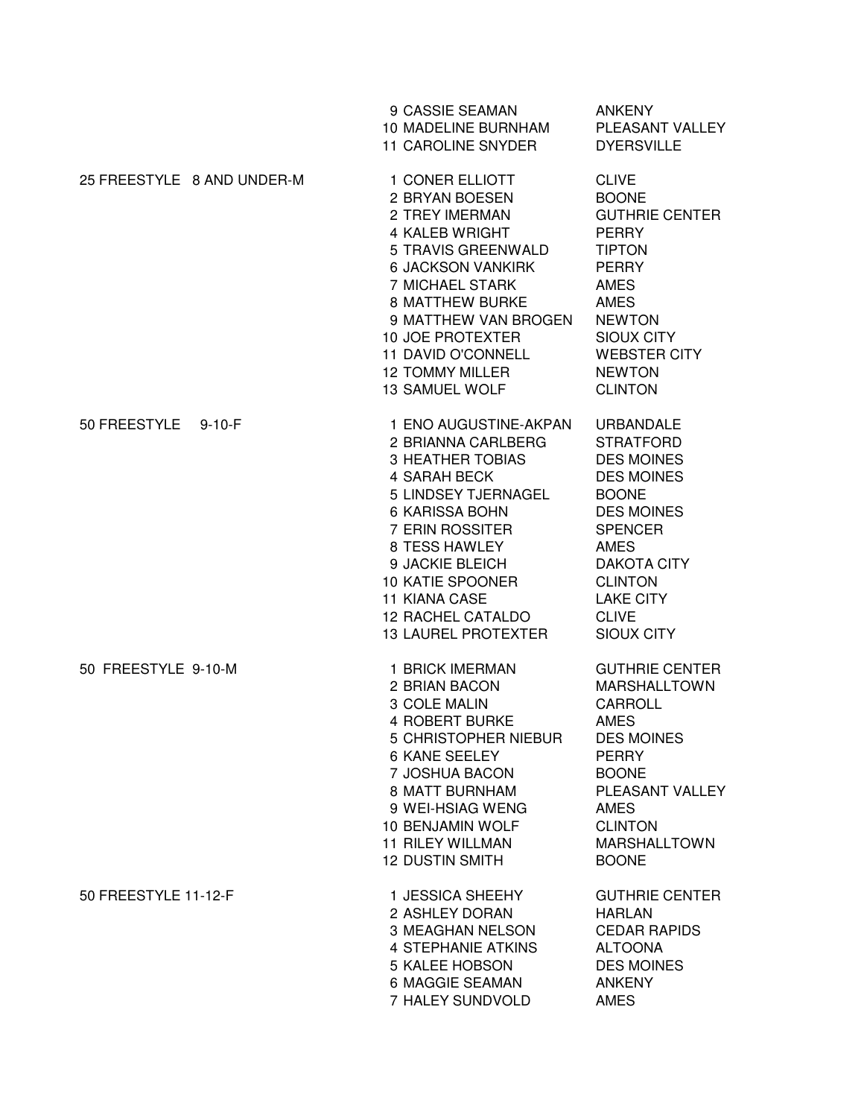|                            |              | 9 CASSIE SEAMAN<br>10 MADELINE BURNHAM<br><b>11 CAROLINE SNYDER</b>                                                                                                                                                                                                                                 | <b>ANKENY</b><br>PLEASANT VALLEY<br><b>DYERSVILLE</b>                                                                                                                                                                                                 |
|----------------------------|--------------|-----------------------------------------------------------------------------------------------------------------------------------------------------------------------------------------------------------------------------------------------------------------------------------------------------|-------------------------------------------------------------------------------------------------------------------------------------------------------------------------------------------------------------------------------------------------------|
| 25 FREESTYLE 8 AND UNDER-M |              | 1 CONER ELLIOTT<br>2 BRYAN BOESEN<br>2 TREY IMERMAN<br>4 KALEB WRIGHT<br>5 TRAVIS GREENWALD<br><b>6 JACKSON VANKIRK</b><br>7 MICHAEL STARK<br><b>8 MATTHEW BURKE</b><br>9 MATTHEW VAN BROGEN<br><b>10 JOE PROTEXTER</b><br>11 DAVID O'CONNELL<br><b>12 TOMMY MILLER</b><br><b>13 SAMUEL WOLF</b>    | <b>CLIVE</b><br><b>BOONE</b><br><b>GUTHRIE CENTER</b><br><b>PERRY</b><br><b>TIPTON</b><br><b>PERRY</b><br><b>AMES</b><br><b>AMES</b><br><b>NEWTON</b><br><b>SIOUX CITY</b><br><b>WEBSTER CITY</b><br><b>NEWTON</b><br><b>CLINTON</b>                  |
| 50 FREESTYLE               | $9 - 10 - F$ | 1 ENO AUGUSTINE-AKPAN<br>2 BRIANNA CARLBERG<br><b>3 HEATHER TOBIAS</b><br>4 SARAH BECK<br>5 LINDSEY TJERNAGEL<br>6 KARISSA BOHN<br>7 ERIN ROSSITER<br>8 TESS HAWLEY<br>9 JACKIE BLEICH<br><b>10 KATIE SPOONER</b><br><b>11 KIANA CASE</b><br><b>12 RACHEL CATALDO</b><br><b>13 LAUREL PROTEXTER</b> | <b>URBANDALE</b><br><b>STRATFORD</b><br><b>DES MOINES</b><br><b>DES MOINES</b><br><b>BOONE</b><br><b>DES MOINES</b><br><b>SPENCER</b><br><b>AMES</b><br><b>DAKOTA CITY</b><br><b>CLINTON</b><br><b>LAKE CITY</b><br><b>CLIVE</b><br><b>SIOUX CITY</b> |
| 50 FREESTYLE 9-10-M        |              | 1 BRICK IMERMAN<br>2 BRIAN BACON<br>3 COLE MALIN<br><b>4 ROBERT BURKE</b><br>5 CHRISTOPHER NIEBUR<br>6 KANE SEELEY<br>7 JOSHUA BACON<br>8 MATT BURNHAM<br>9 WEI-HSIAG WENG<br>10 BENJAMIN WOLF<br><b>11 RILEY WILLMAN</b><br><b>12 DUSTIN SMITH</b>                                                 | <b>GUTHRIE CENTER</b><br><b>MARSHALLTOWN</b><br><b>CARROLL</b><br><b>AMES</b><br><b>DES MOINES</b><br><b>PERRY</b><br><b>BOONE</b><br>PLEASANT VALLEY<br><b>AMES</b><br><b>CLINTON</b><br><b>MARSHALLTOWN</b><br><b>BOONE</b>                         |
| 50 FREESTYLE 11-12-F       |              | 1 JESSICA SHEEHY<br>2 ASHLEY DORAN<br>3 MEAGHAN NELSON<br><b>4 STEPHANIE ATKINS</b><br><b>5 KALEE HOBSON</b><br>6 MAGGIE SEAMAN<br>7 HALEY SUNDVOLD                                                                                                                                                 | <b>GUTHRIE CENTER</b><br><b>HARLAN</b><br><b>CEDAR RAPIDS</b><br><b>ALTOONA</b><br><b>DES MOINES</b><br><b>ANKENY</b><br><b>AMES</b>                                                                                                                  |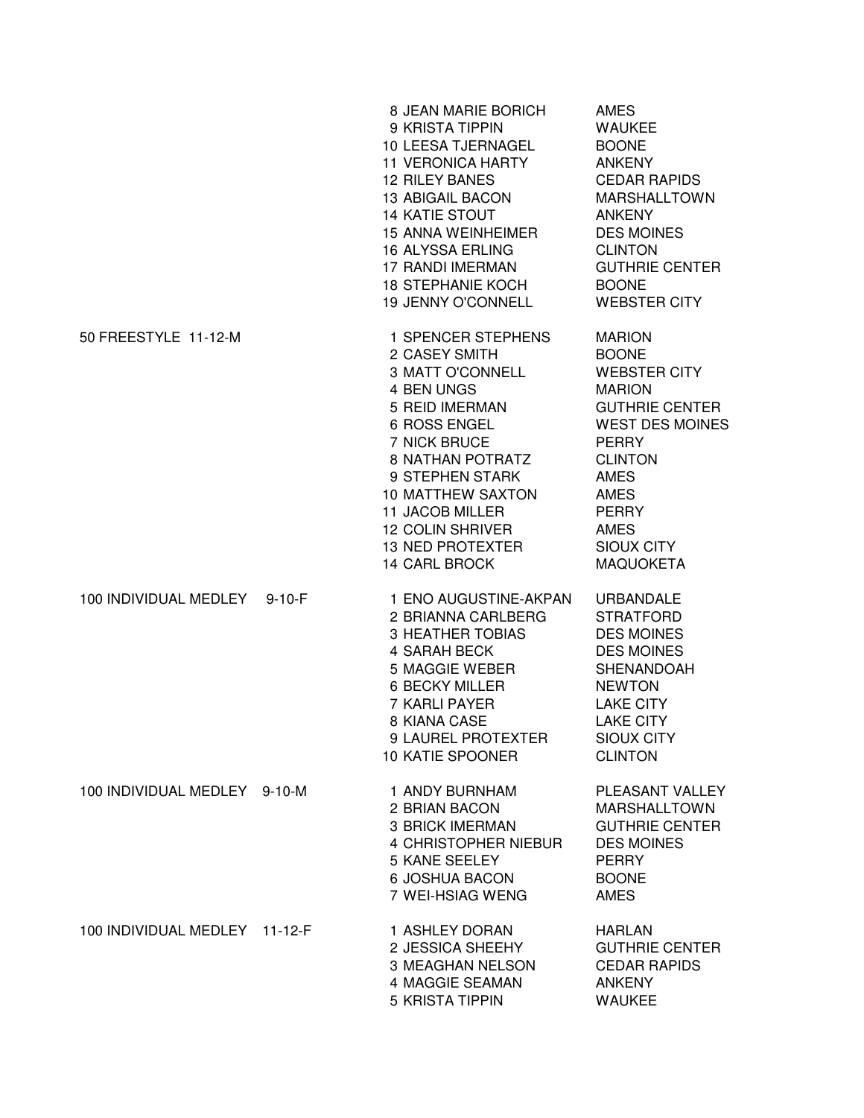|                               |              | 8 JEAN MARIE BORICH<br>9 KRISTA TIPPIN<br>10 LEESA TJERNAGEL<br><b>11 VERONICA HARTY</b><br><b>12 RILEY BANES</b><br><b>13 ABIGAIL BACON</b><br><b>14 KATIE STOUT</b><br><b>15 ANNA WEINHEIMER</b><br>16 ALYSSA ERLING<br>17 RANDI IMERMAN<br><b>18 STEPHANIE KOCH</b><br>19 JENNY O'CONNELL              | <b>AMES</b><br><b>WAUKEE</b><br><b>BOONE</b><br><b>ANKENY</b><br><b>CEDAR RAPIDS</b><br><b>MARSHALLTOWN</b><br><b>ANKENY</b><br><b>DES MOINES</b><br><b>CLINTON</b><br><b>GUTHRIE CENTER</b><br><b>BOONE</b><br><b>WEBSTER CITY</b>                              |
|-------------------------------|--------------|-----------------------------------------------------------------------------------------------------------------------------------------------------------------------------------------------------------------------------------------------------------------------------------------------------------|------------------------------------------------------------------------------------------------------------------------------------------------------------------------------------------------------------------------------------------------------------------|
| 50 FREESTYLE 11-12-M          |              | 1 SPENCER STEPHENS<br>2 CASEY SMITH<br>3 MATT O'CONNELL<br>4 BEN UNGS<br>5 REID IMERMAN<br>6 ROSS ENGEL<br>7 NICK BRUCE<br><b>8 NATHAN POTRATZ</b><br>9 STEPHEN STARK<br><b>10 MATTHEW SAXTON</b><br><b>11 JACOB MILLER</b><br><b>12 COLIN SHRIVER</b><br><b>13 NED PROTEXTER</b><br><b>14 CARL BROCK</b> | <b>MARION</b><br><b>BOONE</b><br><b>WEBSTER CITY</b><br><b>MARION</b><br><b>GUTHRIE CENTER</b><br><b>WEST DES MOINES</b><br><b>PERRY</b><br><b>CLINTON</b><br><b>AMES</b><br><b>AMES</b><br><b>PERRY</b><br><b>AMES</b><br><b>SIOUX CITY</b><br><b>MAQUOKETA</b> |
| 100 INDIVIDUAL MEDLEY         | $9 - 10 - F$ | 1 ENO AUGUSTINE-AKPAN<br>2 BRIANNA CARLBERG<br><b>3 HEATHER TOBIAS</b><br>4 SARAH BECK<br>5 MAGGIE WEBER<br>6 BECKY MILLER<br>7 KARLI PAYER<br>8 KIANA CASE<br>9 LAUREL PROTEXTER<br><b>10 KATIE SPOONER</b>                                                                                              | <b>URBANDALE</b><br><b>STRATFORD</b><br><b>DES MOINES</b><br><b>DES MOINES</b><br><b>SHENANDOAH</b><br><b>NEWTON</b><br><b>LAKE CITY</b><br><b>LAKE CITY</b><br><b>SIOUX CITY</b><br><b>CLINTON</b>                                                              |
| 100 INDIVIDUAL MEDLEY 9-10-M  |              | 1 ANDY BURNHAM<br>2 BRIAN BACON<br><b>3 BRICK IMERMAN</b><br>4 CHRISTOPHER NIEBUR<br>5 KANE SEELEY<br>6 JOSHUA BACON<br>7 WEI-HSIAG WENG                                                                                                                                                                  | PLEASANT VALLEY<br><b>MARSHALLTOWN</b><br><b>GUTHRIE CENTER</b><br><b>DES MOINES</b><br><b>PERRY</b><br><b>BOONE</b><br><b>AMES</b>                                                                                                                              |
| 100 INDIVIDUAL MEDLEY 11-12-F |              | 1 ASHLEY DORAN<br>2 JESSICA SHEEHY<br>3 MEAGHAN NELSON<br>4 MAGGIE SEAMAN<br><b>5 KRISTA TIPPIN</b>                                                                                                                                                                                                       | <b>HARLAN</b><br><b>GUTHRIE CENTER</b><br><b>CEDAR RAPIDS</b><br><b>ANKENY</b><br><b>WAUKEE</b>                                                                                                                                                                  |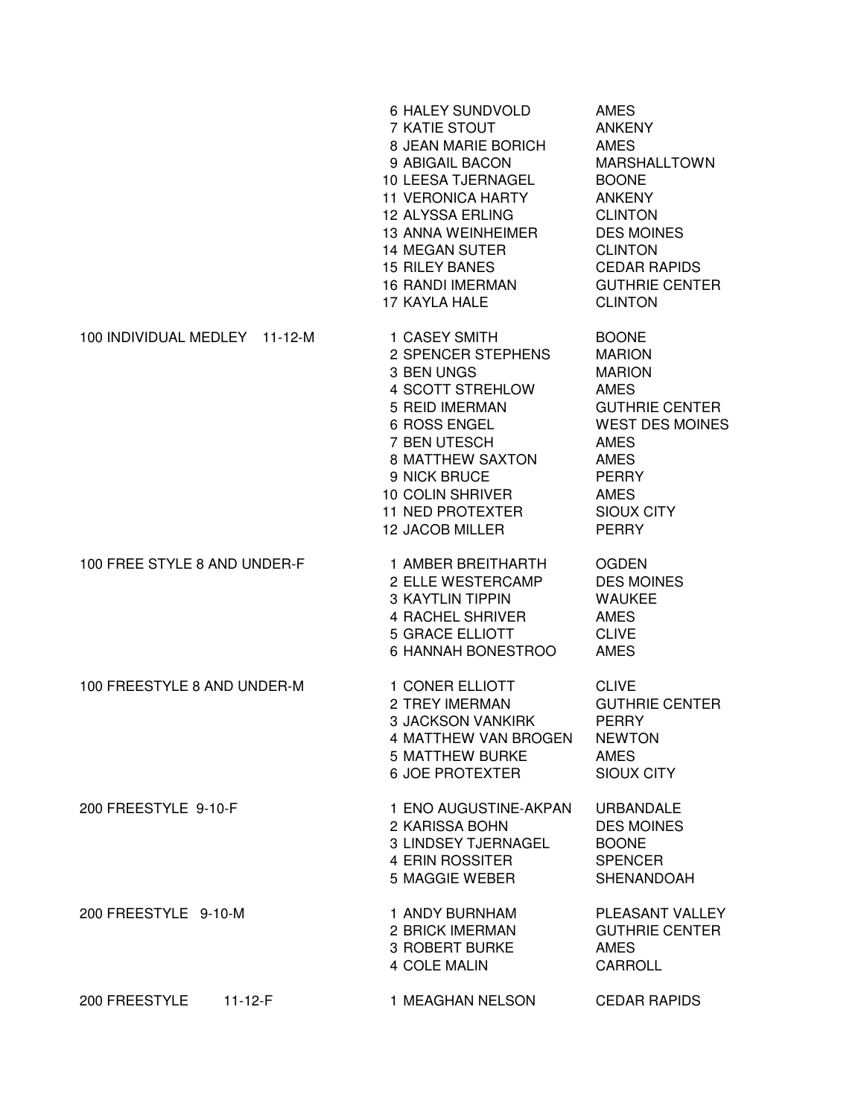|                                | 6 HALEY SUNDVOLD<br>7 KATIE STOUT<br>8 JEAN MARIE BORICH<br>9 ABIGAIL BACON<br>10 LEESA TJERNAGEL<br><b>11 VERONICA HARTY</b><br>12 ALYSSA ERLING<br><b>13 ANNA WEINHEIMER</b><br><b>14 MEGAN SUTER</b><br><b>15 RILEY BANES</b><br><b>16 RANDI IMERMAN</b><br>17 KAYLA HALE | <b>AMES</b><br><b>ANKENY</b><br><b>AMES</b><br><b>MARSHALLTOWN</b><br><b>BOONE</b><br><b>ANKENY</b><br><b>CLINTON</b><br><b>DES MOINES</b><br><b>CLINTON</b><br><b>CEDAR RAPIDS</b><br><b>GUTHRIE CENTER</b><br><b>CLINTON</b> |
|--------------------------------|------------------------------------------------------------------------------------------------------------------------------------------------------------------------------------------------------------------------------------------------------------------------------|--------------------------------------------------------------------------------------------------------------------------------------------------------------------------------------------------------------------------------|
| 100 INDIVIDUAL MEDLEY 11-12-M  | 1 CASEY SMITH<br>2 SPENCER STEPHENS<br>3 BEN UNGS<br>4 SCOTT STREHLOW<br>5 REID IMERMAN<br>6 ROSS ENGEL<br>7 BEN UTESCH<br><b>8 MATTHEW SAXTON</b><br>9 NICK BRUCE<br>10 COLIN SHRIVER<br><b>11 NED PROTEXTER</b><br><b>12 JACOB MILLER</b>                                  | <b>BOONE</b><br><b>MARION</b><br><b>MARION</b><br><b>AMES</b><br><b>GUTHRIE CENTER</b><br><b>WEST DES MOINES</b><br><b>AMES</b><br><b>AMES</b><br><b>PERRY</b><br><b>AMES</b><br><b>SIOUX CITY</b><br><b>PERRY</b>             |
| 100 FREE STYLE 8 AND UNDER-F   | 1 AMBER BREITHARTH<br>2 ELLE WESTERCAMP<br><b>3 KAYTLIN TIPPIN</b><br>4 RACHEL SHRIVER<br><b>5 GRACE ELLIOTT</b><br>6 HANNAH BONESTROO                                                                                                                                       | <b>OGDEN</b><br><b>DES MOINES</b><br><b>WAUKEE</b><br><b>AMES</b><br><b>CLIVE</b><br><b>AMES</b>                                                                                                                               |
| 100 FREESTYLE 8 AND UNDER-M    | 1 CONER ELLIOTT<br>2 TREY IMERMAN<br><b>3 JACKSON VANKIRK</b><br>4 MATTHEW VAN BROGEN<br><b>5 MATTHEW BURKE</b><br><b>6 JOE PROTEXTER</b>                                                                                                                                    | <b>CLIVE</b><br><b>GUTHRIE CENTER</b><br><b>PERRY</b><br><b>NEWTON</b><br><b>AMES</b><br><b>SIOUX CITY</b>                                                                                                                     |
| 200 FREESTYLE 9-10-F           | 1 ENO AUGUSTINE-AKPAN<br>2 KARISSA BOHN<br>3 LINDSEY TJERNAGEL<br>4 ERIN ROSSITER<br>5 MAGGIE WEBER                                                                                                                                                                          | <b>URBANDALE</b><br><b>DES MOINES</b><br><b>BOONE</b><br><b>SPENCER</b><br>SHENANDOAH                                                                                                                                          |
| 200 FREESTYLE 9-10-M           | 1 ANDY BURNHAM<br>2 BRICK IMERMAN<br>3 ROBERT BURKE<br>4 COLE MALIN                                                                                                                                                                                                          | PLEASANT VALLEY<br><b>GUTHRIE CENTER</b><br><b>AMES</b><br><b>CARROLL</b>                                                                                                                                                      |
| 200 FREESTYLE<br>$11 - 12 - F$ | 1 MEAGHAN NELSON                                                                                                                                                                                                                                                             | <b>CEDAR RAPIDS</b>                                                                                                                                                                                                            |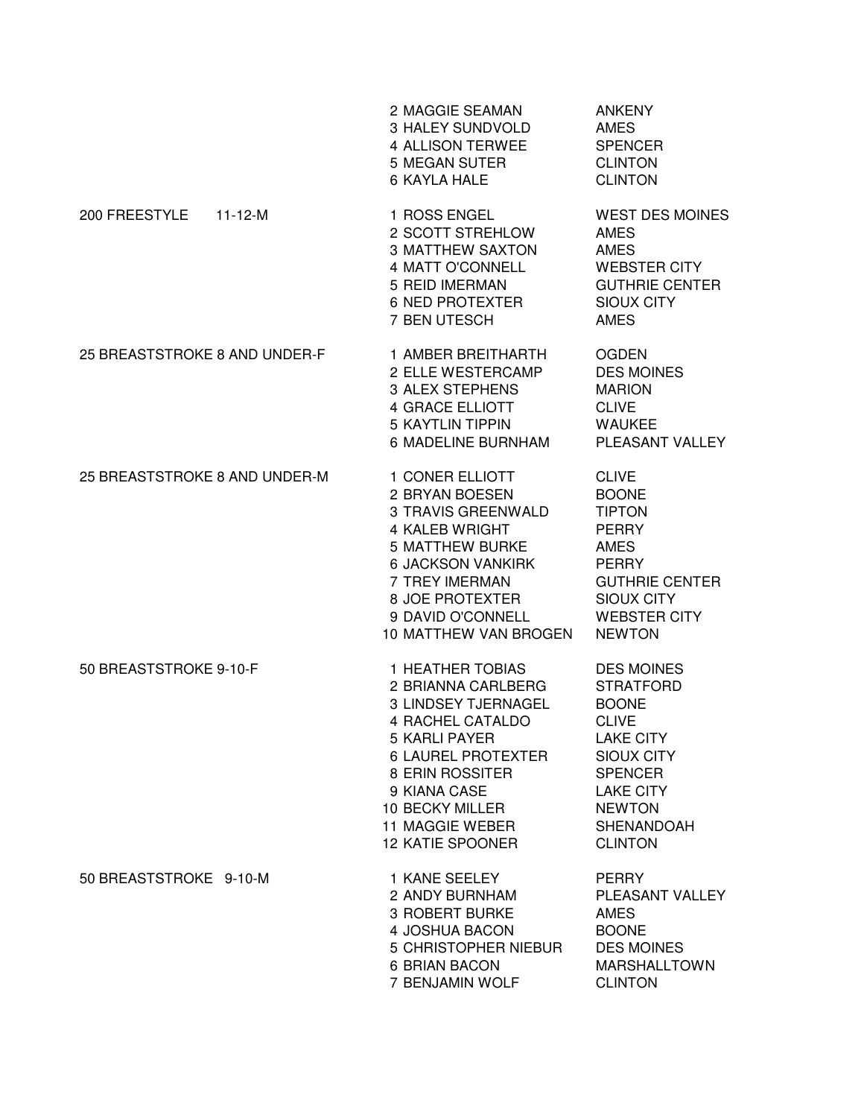|                                | 2 MAGGIE SEAMAN<br>3 HALEY SUNDVOLD<br>4 ALLISON TERWEE<br>5 MEGAN SUTER<br>6 KAYLA HALE                                                                                                                                                                               | <b>ANKENY</b><br><b>AMES</b><br><b>SPENCER</b><br><b>CLINTON</b><br><b>CLINTON</b>                                                                                                                    |
|--------------------------------|------------------------------------------------------------------------------------------------------------------------------------------------------------------------------------------------------------------------------------------------------------------------|-------------------------------------------------------------------------------------------------------------------------------------------------------------------------------------------------------|
| 200 FREESTYLE<br>$11 - 12 - M$ | 1 ROSS ENGEL<br>2 SCOTT STREHLOW<br><b>3 MATTHEW SAXTON</b><br><b>4 MATT O'CONNELL</b><br>5 REID IMERMAN<br><b>6 NED PROTEXTER</b><br>7 BEN UTESCH                                                                                                                     | <b>WEST DES MOINES</b><br><b>AMES</b><br><b>AMES</b><br><b>WEBSTER CITY</b><br><b>GUTHRIE CENTER</b><br><b>SIOUX CITY</b><br><b>AMES</b>                                                              |
| 25 BREASTSTROKE 8 AND UNDER-F  | 1 AMBER BREITHARTH<br>2 ELLE WESTERCAMP<br>3 ALEX STEPHENS<br><b>4 GRACE ELLIOTT</b><br><b>5 KAYTLIN TIPPIN</b><br>6 MADELINE BURNHAM                                                                                                                                  | <b>OGDEN</b><br><b>DES MOINES</b><br><b>MARION</b><br><b>CLIVE</b><br><b>WAUKEE</b><br>PLEASANT VALLEY                                                                                                |
| 25 BREASTSTROKE 8 AND UNDER-M  | 1 CONER ELLIOTT<br>2 BRYAN BOESEN<br>3 TRAVIS GREENWALD<br>4 KALEB WRIGHT<br>5 MATTHEW BURKE<br><b>6 JACKSON VANKIRK</b><br>7 TREY IMERMAN<br>8 JOE PROTEXTER<br>9 DAVID O'CONNELL<br>10 MATTHEW VAN BROGEN                                                            | <b>CLIVE</b><br><b>BOONE</b><br><b>TIPTON</b><br><b>PERRY</b><br><b>AMES</b><br><b>PERRY</b><br><b>GUTHRIE CENTER</b><br>SIOUX CITY<br><b>WEBSTER CITY</b><br><b>NEWTON</b>                           |
| 50 BREASTSTROKE 9-10-F         | <b>1 HEATHER TOBIAS</b><br>2 BRIANNA CARLBERG<br>3 LINDSEY TJERNAGEL<br><b>4 RACHEL CATALDO</b><br><b>5 KARLI PAYER</b><br><b>6 LAUREL PROTEXTER</b><br>8 ERIN ROSSITER<br>9 KIANA CASE<br><b>10 BECKY MILLER</b><br><b>11 MAGGIE WEBER</b><br><b>12 KATIE SPOONER</b> | <b>DES MOINES</b><br><b>STRATFORD</b><br><b>BOONE</b><br><b>CLIVE</b><br><b>LAKE CITY</b><br><b>SIOUX CITY</b><br><b>SPENCER</b><br><b>LAKE CITY</b><br><b>NEWTON</b><br>SHENANDOAH<br><b>CLINTON</b> |
| 50 BREASTSTROKE 9-10-M         | 1 KANE SEELEY<br>2 ANDY BURNHAM<br><b>3 ROBERT BURKE</b><br>4 JOSHUA BACON<br>5 CHRISTOPHER NIEBUR<br><b>6 BRIAN BACON</b><br>7 BENJAMIN WOLF                                                                                                                          | <b>PERRY</b><br>PLEASANT VALLEY<br><b>AMES</b><br><b>BOONE</b><br><b>DES MOINES</b><br><b>MARSHALLTOWN</b><br><b>CLINTON</b>                                                                          |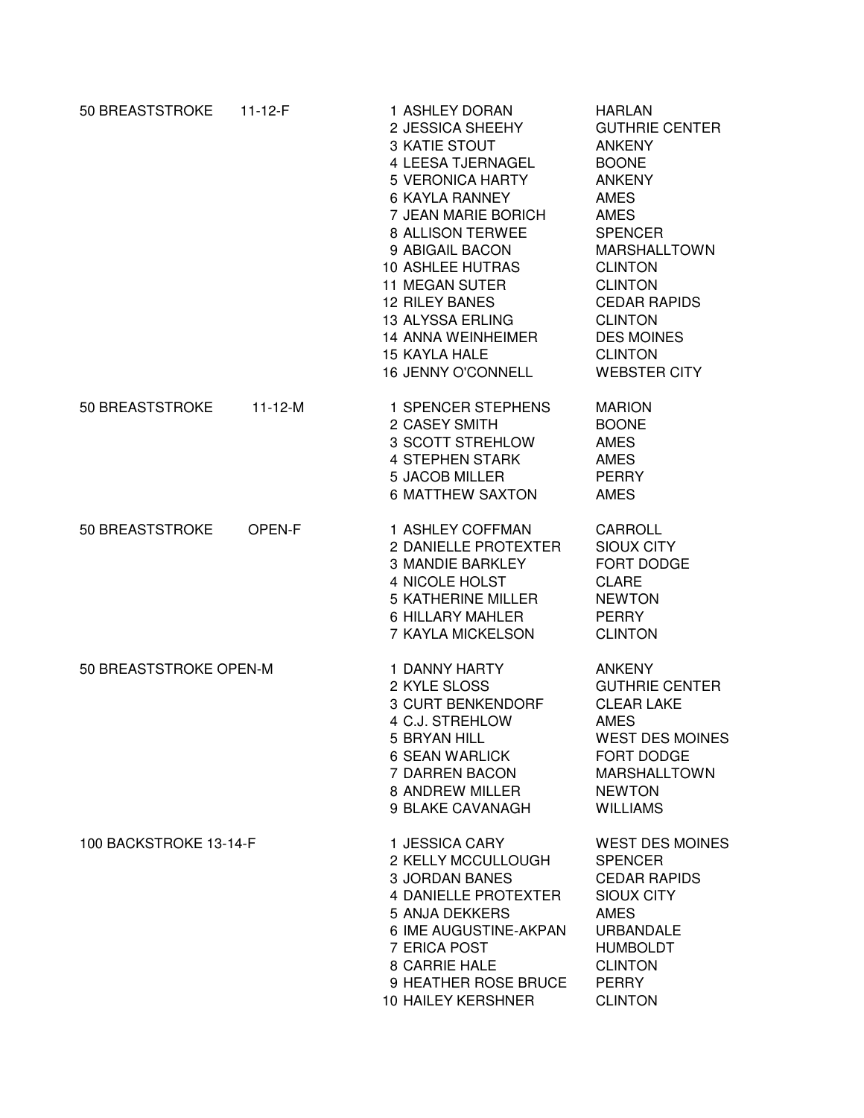| 50 BREASTSTROKE        | $11 - 12 - F$ | 1 ASHLEY DORAN<br>2 JESSICA SHEEHY<br>3 KATIE STOUT<br>4 LEESA TJERNAGEL<br><b>5 VERONICA HARTY</b><br><b>6 KAYLA RANNEY</b><br>7 JEAN MARIE BORICH<br>8 ALLISON TERWEE<br>9 ABIGAIL BACON<br><b>10 ASHLEE HUTRAS</b><br><b>11 MEGAN SUTER</b><br><b>12 RILEY BANES</b><br>13 ALYSSA ERLING<br><b>14 ANNA WEINHEIMER</b><br><b>15 KAYLA HALE</b><br>16 JENNY O'CONNELL | <b>HARLAN</b><br><b>GUTHRIE CENTER</b><br><b>ANKENY</b><br><b>BOONE</b><br><b>ANKENY</b><br><b>AMES</b><br><b>AMES</b><br><b>SPENCER</b><br><b>MARSHALLTOWN</b><br><b>CLINTON</b><br><b>CLINTON</b><br><b>CEDAR RAPIDS</b><br><b>CLINTON</b><br><b>DES MOINES</b><br><b>CLINTON</b><br><b>WEBSTER CITY</b> |
|------------------------|---------------|------------------------------------------------------------------------------------------------------------------------------------------------------------------------------------------------------------------------------------------------------------------------------------------------------------------------------------------------------------------------|------------------------------------------------------------------------------------------------------------------------------------------------------------------------------------------------------------------------------------------------------------------------------------------------------------|
| 50 BREASTSTROKE        | $11 - 12 - M$ | 1 SPENCER STEPHENS<br>2 CASEY SMITH<br>3 SCOTT STREHLOW<br><b>4 STEPHEN STARK</b><br><b>5 JACOB MILLER</b><br><b>6 MATTHEW SAXTON</b>                                                                                                                                                                                                                                  | <b>MARION</b><br><b>BOONE</b><br><b>AMES</b><br><b>AMES</b><br><b>PERRY</b><br><b>AMES</b>                                                                                                                                                                                                                 |
| 50 BREASTSTROKE        | OPEN-F        | 1 ASHLEY COFFMAN<br>2 DANIELLE PROTEXTER<br><b>3 MANDIE BARKLEY</b><br>4 NICOLE HOLST<br><b>5 KATHERINE MILLER</b><br>6 HILLARY MAHLER<br>7 KAYLA MICKELSON                                                                                                                                                                                                            | CARROLL<br><b>SIOUX CITY</b><br>FORT DODGE<br><b>CLARE</b><br><b>NEWTON</b><br><b>PERRY</b><br><b>CLINTON</b>                                                                                                                                                                                              |
| 50 BREASTSTROKE OPEN-M |               | 1 DANNY HARTY<br>2 KYLE SLOSS<br>3 CURT BENKENDORF<br>4 C.J. STREHLOW<br>5 BRYAN HILL<br><b>6 SEAN WARLICK</b><br>7 DARREN BACON<br>8 ANDREW MILLER<br>9 BLAKE CAVANAGH                                                                                                                                                                                                | <b>ANKENY</b><br><b>GUTHRIE CENTER</b><br><b>CLEAR LAKE</b><br><b>AMES</b><br>WEST DES MOINES<br>FORT DODGE<br><b>MARSHALLTOWN</b><br><b>NEWTON</b><br><b>WILLIAMS</b>                                                                                                                                     |
| 100 BACKSTROKE 13-14-F |               | 1 JESSICA CARY<br>2 KELLY MCCULLOUGH<br><b>3 JORDAN BANES</b><br><b>4 DANIELLE PROTEXTER</b><br>5 ANJA DEKKERS<br>6 IME AUGUSTINE-AKPAN<br>7 ERICA POST<br>8 CARRIE HALE<br>9 HEATHER ROSE BRUCE<br><b>10 HAILEY KERSHNER</b>                                                                                                                                          | <b>WEST DES MOINES</b><br><b>SPENCER</b><br><b>CEDAR RAPIDS</b><br><b>SIOUX CITY</b><br><b>AMES</b><br><b>URBANDALE</b><br><b>HUMBOLDT</b><br><b>CLINTON</b><br><b>PERRY</b><br><b>CLINTON</b>                                                                                                             |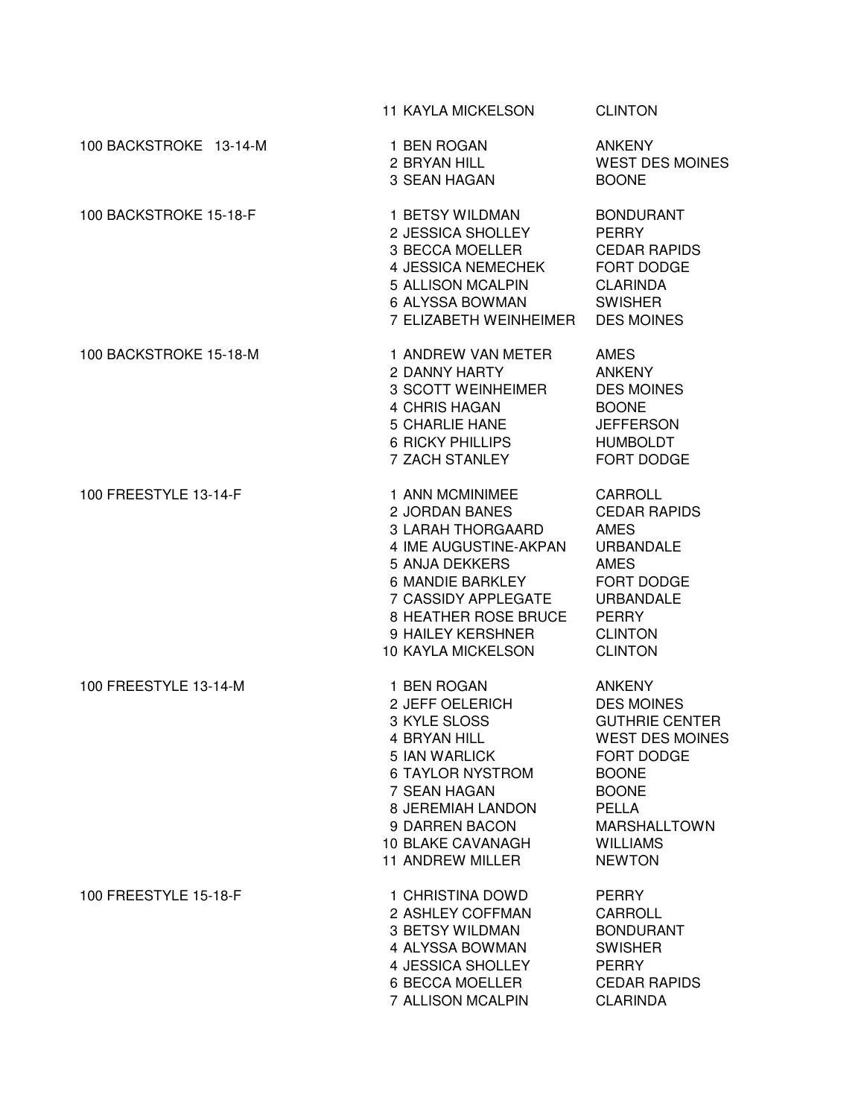|                        | <b>11 KAYLA MICKELSON</b>                                                                                                                                                                                                | <b>CLINTON</b>                                                                                                                                                                                                        |
|------------------------|--------------------------------------------------------------------------------------------------------------------------------------------------------------------------------------------------------------------------|-----------------------------------------------------------------------------------------------------------------------------------------------------------------------------------------------------------------------|
| 100 BACKSTROKE 13-14-M | 1 BEN ROGAN<br>2 BRYAN HILL<br>3 SEAN HAGAN                                                                                                                                                                              | <b>ANKENY</b><br><b>WEST DES MOINES</b><br><b>BOONE</b>                                                                                                                                                               |
| 100 BACKSTROKE 15-18-F | 1 BETSY WILDMAN<br>2 JESSICA SHOLLEY<br>3 BECCA MOELLER<br>4 JESSICA NEMECHEK<br>5 ALLISON MCALPIN<br>6 ALYSSA BOWMAN<br>7 ELIZABETH WEINHEIMER                                                                          | <b>BONDURANT</b><br><b>PERRY</b><br><b>CEDAR RAPIDS</b><br>FORT DODGE<br><b>CLARINDA</b><br><b>SWISHER</b><br><b>DES MOINES</b>                                                                                       |
| 100 BACKSTROKE 15-18-M | 1 ANDREW VAN METER<br>2 DANNY HARTY<br>3 SCOTT WEINHEIMER<br>4 CHRIS HAGAN<br><b>5 CHARLIE HANE</b><br><b>6 RICKY PHILLIPS</b><br>7 ZACH STANLEY                                                                         | AMES<br><b>ANKENY</b><br><b>DES MOINES</b><br><b>BOONE</b><br><b>JEFFERSON</b><br><b>HUMBOLDT</b><br>FORT DODGE                                                                                                       |
| 100 FREESTYLE 13-14-F  | 1 ANN MCMINIMEE<br>2 JORDAN BANES<br>3 LARAH THORGAARD<br>4 IME AUGUSTINE-AKPAN<br>5 ANJA DEKKERS<br>6 MANDIE BARKLEY<br>7 CASSIDY APPLEGATE<br>8 HEATHER ROSE BRUCE<br>9 HAILEY KERSHNER<br><b>10 KAYLA MICKELSON</b>   | <b>CARROLL</b><br><b>CEDAR RAPIDS</b><br><b>AMES</b><br><b>URBANDALE</b><br><b>AMES</b><br>FORT DODGE<br><b>URBANDALE</b><br><b>PERRY</b><br><b>CLINTON</b><br><b>CLINTON</b>                                         |
| 100 FREESTYLE 13-14-M  | 1 BEN ROGAN<br>2 JEFF OELERICH<br>3 KYLE SLOSS<br><b>4 BRYAN HILL</b><br>5 IAN WARLICK<br><b>6 TAYLOR NYSTROM</b><br>7 SEAN HAGAN<br>8 JEREMIAH LANDON<br>9 DARREN BACON<br><b>10 BLAKE CAVANAGH</b><br>11 ANDREW MILLER | <b>ANKENY</b><br><b>DES MOINES</b><br><b>GUTHRIE CENTER</b><br><b>WEST DES MOINES</b><br><b>FORT DODGE</b><br><b>BOONE</b><br><b>BOONE</b><br><b>PELLA</b><br><b>MARSHALLTOWN</b><br><b>WILLIAMS</b><br><b>NEWTON</b> |
| 100 FREESTYLE 15-18-F  | 1 CHRISTINA DOWD<br>2 ASHLEY COFFMAN<br>3 BETSY WILDMAN<br>4 ALYSSA BOWMAN<br>4 JESSICA SHOLLEY<br>6 BECCA MOELLER<br>7 ALLISON MCALPIN                                                                                  | <b>PERRY</b><br>CARROLL<br><b>BONDURANT</b><br><b>SWISHER</b><br><b>PERRY</b><br><b>CEDAR RAPIDS</b><br><b>CLARINDA</b>                                                                                               |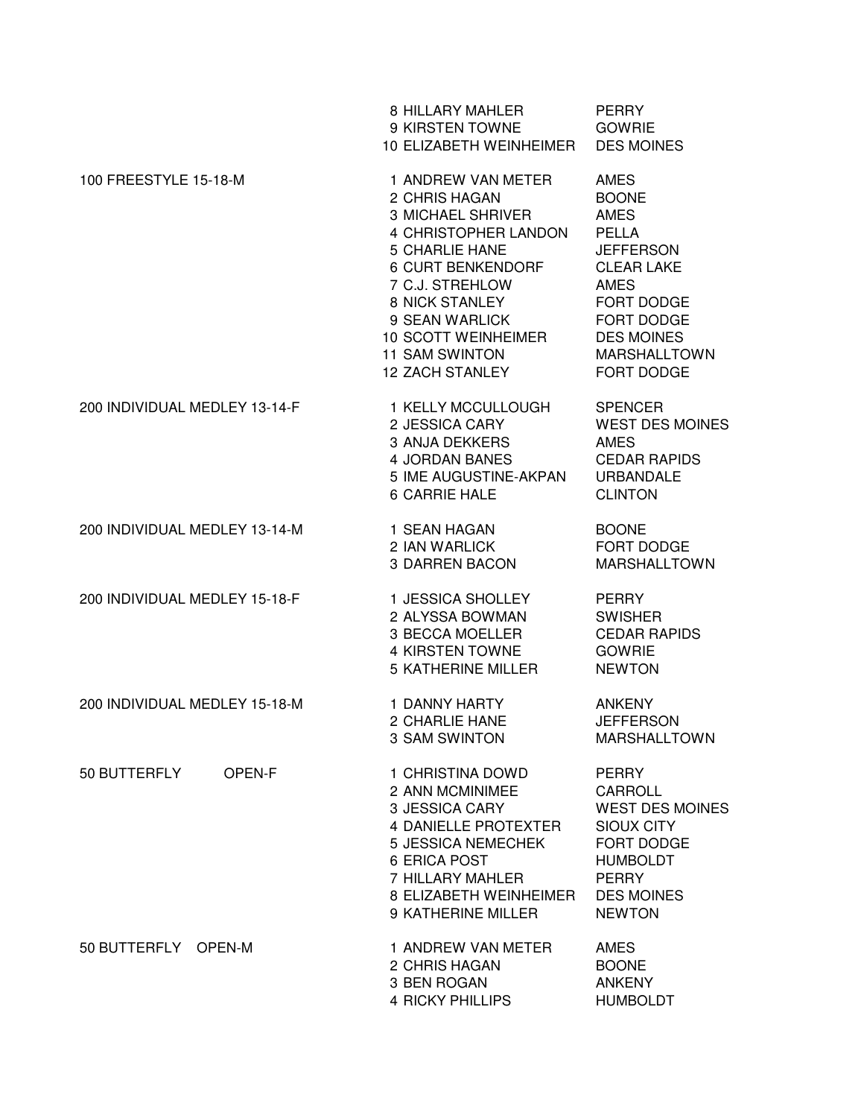|                               | 8 HILLARY MAHLER<br>9 KIRSTEN TOWNE<br>10 ELIZABETH WEINHEIMER                                                                                                                                                                                                         | <b>PERRY</b><br><b>GOWRIE</b><br><b>DES MOINES</b>                                                                                                                                                                     |
|-------------------------------|------------------------------------------------------------------------------------------------------------------------------------------------------------------------------------------------------------------------------------------------------------------------|------------------------------------------------------------------------------------------------------------------------------------------------------------------------------------------------------------------------|
| 100 FREESTYLE 15-18-M         | 1 ANDREW VAN METER<br>2 CHRIS HAGAN<br><b>3 MICHAEL SHRIVER</b><br>4 CHRISTOPHER LANDON<br><b>5 CHARLIE HANE</b><br>6 CURT BENKENDORF<br>7 C.J. STREHLOW<br>8 NICK STANLEY<br>9 SEAN WARLICK<br>10 SCOTT WEINHEIMER<br><b>11 SAM SWINTON</b><br><b>12 ZACH STANLEY</b> | <b>AMES</b><br><b>BOONE</b><br><b>AMES</b><br><b>PELLA</b><br><b>JEFFERSON</b><br><b>CLEAR LAKE</b><br><b>AMES</b><br><b>FORT DODGE</b><br><b>FORT DODGE</b><br><b>DES MOINES</b><br><b>MARSHALLTOWN</b><br>FORT DODGE |
| 200 INDIVIDUAL MEDLEY 13-14-F | 1 KELLY MCCULLOUGH<br>2 JESSICA CARY<br><b>3 ANJA DEKKERS</b><br>4 JORDAN BANES<br>5 IME AUGUSTINE-AKPAN<br><b>6 CARRIE HALE</b>                                                                                                                                       | <b>SPENCER</b><br><b>WEST DES MOINES</b><br><b>AMES</b><br><b>CEDAR RAPIDS</b><br><b>URBANDALE</b><br><b>CLINTON</b>                                                                                                   |
| 200 INDIVIDUAL MEDLEY 13-14-M | 1 SEAN HAGAN<br>2 IAN WARLICK<br><b>3 DARREN BACON</b>                                                                                                                                                                                                                 | <b>BOONE</b><br>FORT DODGE<br><b>MARSHALLTOWN</b>                                                                                                                                                                      |
| 200 INDIVIDUAL MEDLEY 15-18-F | 1 JESSICA SHOLLEY<br>2 ALYSSA BOWMAN<br>3 BECCA MOELLER<br><b>4 KIRSTEN TOWNE</b><br><b>5 KATHERINE MILLER</b>                                                                                                                                                         | <b>PERRY</b><br><b>SWISHER</b><br><b>CEDAR RAPIDS</b><br><b>GOWRIE</b><br><b>NEWTON</b>                                                                                                                                |
| 200 INDIVIDUAL MEDLEY 15-18-M | 1 DANNY HARTY<br>2 CHARLIE HANE<br>3 SAM SWINTON                                                                                                                                                                                                                       | <b>ANKENY</b><br><b>JEFFERSON</b><br><b>MARSHALLTOWN</b>                                                                                                                                                               |
| 50 BUTTERFLY<br>OPEN-F        | 1 CHRISTINA DOWD<br>2 ANN MCMINIMEE<br>3 JESSICA CARY<br>4 DANIELLE PROTEXTER<br><b>5 JESSICA NEMECHEK</b><br>6 ERICA POST<br>7 HILLARY MAHLER<br>8 ELIZABETH WEINHEIMER<br>9 KATHERINE MILLER                                                                         | <b>PERRY</b><br>CARROLL<br><b>WEST DES MOINES</b><br><b>SIOUX CITY</b><br>FORT DODGE<br><b>HUMBOLDT</b><br><b>PERRY</b><br><b>DES MOINES</b><br><b>NEWTON</b>                                                          |
| 50 BUTTERFLY OPEN-M           | 1 ANDREW VAN METER<br>2 CHRIS HAGAN<br>3 BEN ROGAN<br>4 RICKY PHILLIPS                                                                                                                                                                                                 | <b>AMES</b><br><b>BOONE</b><br><b>ANKENY</b><br><b>HUMBOLDT</b>                                                                                                                                                        |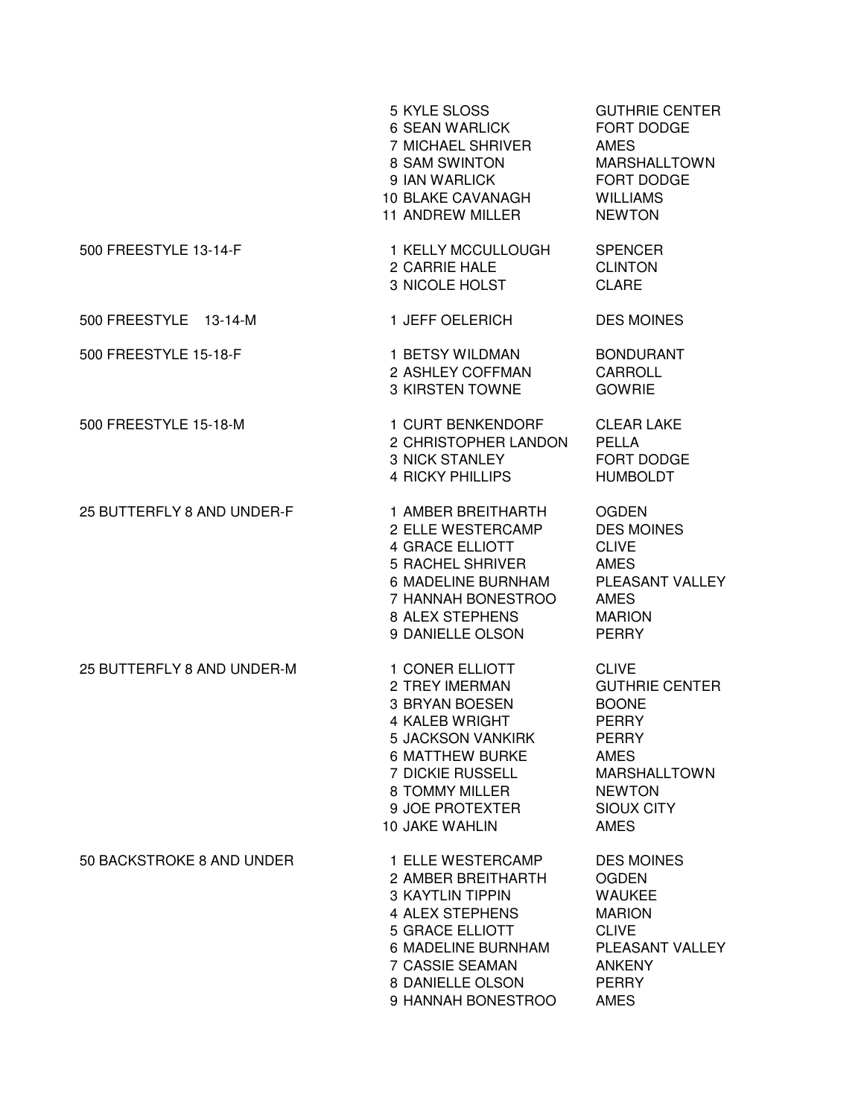|                            | 5 KYLE SLOSS<br>6 SEAN WARLICK<br>7 MICHAEL SHRIVER<br>8 SAM SWINTON<br>9 IAN WARLICK<br><b>10 BLAKE CAVANAGH</b><br>11 ANDREW MILLER                                                                         | <b>GUTHRIE CENTER</b><br>FORT DODGE<br><b>AMES</b><br><b>MARSHALLTOWN</b><br>FORT DODGE<br><b>WILLIAMS</b><br><b>NEWTON</b>                                               |
|----------------------------|---------------------------------------------------------------------------------------------------------------------------------------------------------------------------------------------------------------|---------------------------------------------------------------------------------------------------------------------------------------------------------------------------|
| 500 FREESTYLE 13-14-F      | 1 KELLY MCCULLOUGH<br>2 CARRIE HALE<br>3 NICOLE HOLST                                                                                                                                                         | <b>SPENCER</b><br><b>CLINTON</b><br><b>CLARE</b>                                                                                                                          |
| 500 FREESTYLE 13-14-M      | 1 JEFF OELERICH                                                                                                                                                                                               | <b>DES MOINES</b>                                                                                                                                                         |
| 500 FREESTYLE 15-18-F      | 1 BETSY WILDMAN<br>2 ASHLEY COFFMAN<br>3 KIRSTEN TOWNE                                                                                                                                                        | <b>BONDURANT</b><br>CARROLL<br><b>GOWRIE</b>                                                                                                                              |
| 500 FREESTYLE 15-18-M      | 1 CURT BENKENDORF<br>2 CHRISTOPHER LANDON<br><b>3 NICK STANLEY</b><br><b>4 RICKY PHILLIPS</b>                                                                                                                 | <b>CLEAR LAKE</b><br><b>PELLA</b><br>FORT DODGE<br><b>HUMBOLDT</b>                                                                                                        |
| 25 BUTTERFLY 8 AND UNDER-F | 1 AMBER BREITHARTH<br>2 ELLE WESTERCAMP<br><b>4 GRACE ELLIOTT</b><br><b>5 RACHEL SHRIVER</b><br>6 MADELINE BURNHAM<br>7 HANNAH BONESTROO<br>8 ALEX STEPHENS<br>9 DANIELLE OLSON                               | <b>OGDEN</b><br><b>DES MOINES</b><br><b>CLIVE</b><br><b>AMES</b><br>PLEASANT VALLEY<br><b>AMES</b><br><b>MARION</b><br><b>PERRY</b>                                       |
| 25 BUTTERFLY 8 AND UNDER-M | 1 CONER ELLIOTT<br>2 TREY IMERMAN<br>3 BRYAN BOESEN<br>4 KALEB WRIGHT<br><b>5 JACKSON VANKIRK</b><br><b>6 MATTHEW BURKE</b><br><b>7 DICKIE RUSSELL</b><br>8 TOMMY MILLER<br>9 JOE PROTEXTER<br>10 JAKE WAHLIN | <b>CLIVE</b><br><b>GUTHRIE CENTER</b><br><b>BOONE</b><br><b>PERRY</b><br><b>PERRY</b><br>AMES<br><b>MARSHALLTOWN</b><br><b>NEWTON</b><br><b>SIOUX CITY</b><br><b>AMES</b> |
| 50 BACKSTROKE 8 AND UNDER  | 1 ELLE WESTERCAMP<br>2 AMBER BREITHARTH<br><b>3 KAYTLIN TIPPIN</b><br>4 ALEX STEPHENS<br><b>5 GRACE ELLIOTT</b><br>6 MADELINE BURNHAM<br><b>7 CASSIE SEAMAN</b><br>8 DANIELLE OLSON<br>9 HANNAH BONESTROO     | <b>DES MOINES</b><br><b>OGDEN</b><br><b>WAUKEE</b><br><b>MARION</b><br><b>CLIVE</b><br>PLEASANT VALLEY<br><b>ANKENY</b><br><b>PERRY</b><br><b>AMES</b>                    |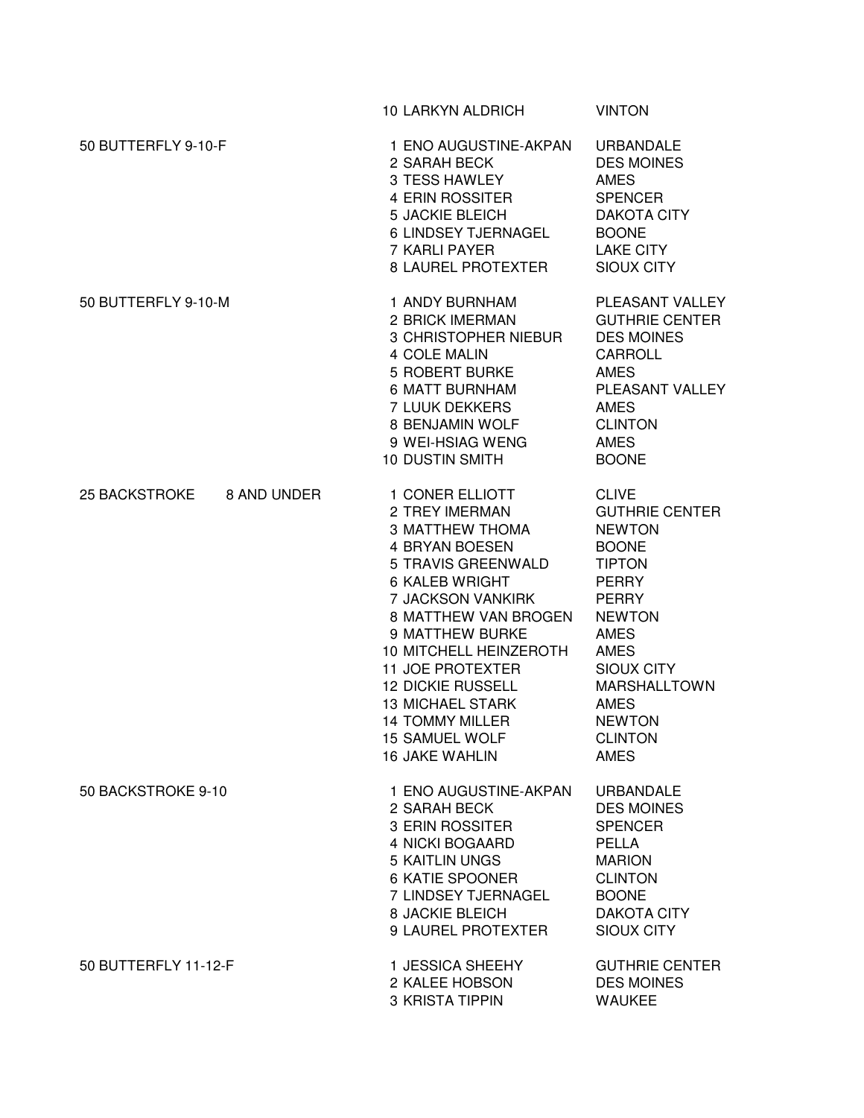|                                     | 10 LARKYN ALDRICH                                                                                                                                                                                                                                                                                                                                                             | <b>VINTON</b>                                                                                                                                                                                                                                                         |
|-------------------------------------|-------------------------------------------------------------------------------------------------------------------------------------------------------------------------------------------------------------------------------------------------------------------------------------------------------------------------------------------------------------------------------|-----------------------------------------------------------------------------------------------------------------------------------------------------------------------------------------------------------------------------------------------------------------------|
| 50 BUTTERFLY 9-10-F                 | 1 ENO AUGUSTINE-AKPAN<br>2 SARAH BECK<br>3 TESS HAWLEY<br>4 ERIN ROSSITER<br><b>5 JACKIE BLEICH</b><br>6 LINDSEY TJERNAGEL<br>7 KARLI PAYER<br>8 LAUREL PROTEXTER                                                                                                                                                                                                             | <b>URBANDALE</b><br><b>DES MOINES</b><br><b>AMES</b><br><b>SPENCER</b><br><b>DAKOTA CITY</b><br><b>BOONE</b><br><b>LAKE CITY</b><br><b>SIOUX CITY</b>                                                                                                                 |
| 50 BUTTERFLY 9-10-M                 | 1 ANDY BURNHAM<br>2 BRICK IMERMAN<br>3 CHRISTOPHER NIEBUR<br>4 COLE MALIN<br>5 ROBERT BURKE<br>6 MATT BURNHAM<br>7 LUUK DEKKERS<br>8 BENJAMIN WOLF<br>9 WEI-HSIAG WENG<br><b>10 DUSTIN SMITH</b>                                                                                                                                                                              | PLEASANT VALLEY<br><b>GUTHRIE CENTER</b><br><b>DES MOINES</b><br>CARROLL<br><b>AMES</b><br>PLEASANT VALLEY<br><b>AMES</b><br><b>CLINTON</b><br><b>AMES</b><br><b>BOONE</b>                                                                                            |
| <b>25 BACKSTROKE</b><br>8 AND UNDER | 1 CONER ELLIOTT<br>2 TREY IMERMAN<br><b>3 MATTHEW THOMA</b><br><b>4 BRYAN BOESEN</b><br>5 TRAVIS GREENWALD<br>6 KALEB WRIGHT<br>7 JACKSON VANKIRK<br>8 MATTHEW VAN BROGEN<br>9 MATTHEW BURKE<br>10 MITCHELL HEINZEROTH<br><b>11 JOE PROTEXTER</b><br><b>12 DICKIE RUSSELL</b><br><b>13 MICHAEL STARK</b><br><b>14 TOMMY MILLER</b><br>15 SAMUEL WOLF<br><b>16 JAKE WAHLIN</b> | <b>CLIVE</b><br><b>GUTHRIE CENTER</b><br><b>NEWTON</b><br><b>BOONE</b><br><b>TIPTON</b><br><b>PERRY</b><br><b>PERRY</b><br><b>NEWTON</b><br>AMES<br><b>AMES</b><br>SIOUX CITY<br><b>MARSHALLTOWN</b><br><b>AMES</b><br><b>NEWTON</b><br><b>CLINTON</b><br><b>AMES</b> |
| 50 BACKSTROKE 9-10                  | 1 ENO AUGUSTINE-AKPAN<br>2 SARAH BECK<br><b>3 ERIN ROSSITER</b><br>4 NICKI BOGAARD<br><b>5 KAITLIN UNGS</b><br>6 KATIE SPOONER<br>7 LINDSEY TJERNAGEL<br><b>8 JACKIE BLEICH</b><br>9 LAUREL PROTEXTER                                                                                                                                                                         | <b>URBANDALE</b><br><b>DES MOINES</b><br><b>SPENCER</b><br><b>PELLA</b><br><b>MARION</b><br><b>CLINTON</b><br><b>BOONE</b><br><b>DAKOTA CITY</b><br><b>SIOUX CITY</b>                                                                                                 |
| 50 BUTTERFLY 11-12-F                | 1 JESSICA SHEEHY<br>2 KALEE HOBSON<br>3 KRISTA TIPPIN                                                                                                                                                                                                                                                                                                                         | <b>GUTHRIE CENTER</b><br><b>DES MOINES</b><br><b>WAUKEE</b>                                                                                                                                                                                                           |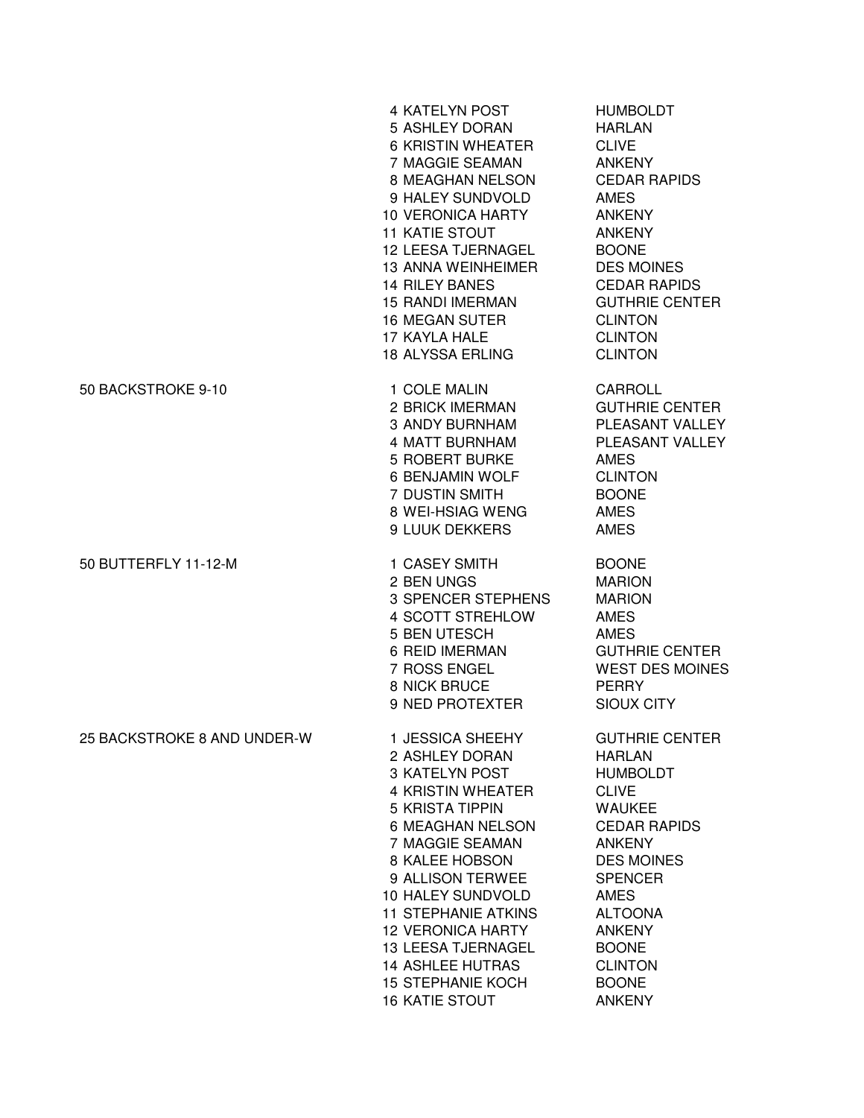|                             | <b>4 KATELYN POST</b><br>5 ASHLEY DORAN<br><b>6 KRISTIN WHEATER</b><br>7 MAGGIE SEAMAN<br>8 MEAGHAN NELSON<br>9 HALEY SUNDVOLD<br><b>10 VERONICA HARTY</b><br><b>11 KATIE STOUT</b><br><b>12 LEESA TJERNAGEL</b><br><b>13 ANNA WEINHEIMER</b><br><b>14 RILEY BANES</b><br><b>15 RANDI IMERMAN</b><br><b>16 MEGAN SUTER</b><br>17 KAYLA HALE<br><b>18 ALYSSA ERLING</b>       | <b>HUMBOLDT</b><br><b>HARLAN</b><br><b>CLIVE</b><br><b>ANKENY</b><br><b>CEDAR RAPIDS</b><br>AMES<br><b>ANKENY</b><br><b>ANKENY</b><br><b>BOONE</b><br><b>DES MOINES</b><br><b>CEDAR RAPIDS</b><br><b>GUTHRIE CENTER</b><br><b>CLINTON</b><br><b>CLINTON</b><br><b>CLINTON</b>                  |
|-----------------------------|------------------------------------------------------------------------------------------------------------------------------------------------------------------------------------------------------------------------------------------------------------------------------------------------------------------------------------------------------------------------------|------------------------------------------------------------------------------------------------------------------------------------------------------------------------------------------------------------------------------------------------------------------------------------------------|
| 50 BACKSTROKE 9-10          | 1 COLE MALIN<br>2 BRICK IMERMAN<br>3 ANDY BURNHAM<br>4 MATT BURNHAM<br><b>5 ROBERT BURKE</b><br>6 BENJAMIN WOLF<br>7 DUSTIN SMITH<br>8 WEI-HSIAG WENG<br>9 LUUK DEKKERS                                                                                                                                                                                                      | <b>CARROLL</b><br><b>GUTHRIE CENTER</b><br>PLEASANT VALLEY<br>PLEASANT VALLEY<br><b>AMES</b><br><b>CLINTON</b><br><b>BOONE</b><br><b>AMES</b><br><b>AMES</b>                                                                                                                                   |
| 50 BUTTERFLY 11-12-M        | 1 CASEY SMITH<br>2 BEN UNGS<br>3 SPENCER STEPHENS<br>4 SCOTT STREHLOW<br>5 BEN UTESCH<br>6 REID IMERMAN<br>7 ROSS ENGEL<br>8 NICK BRUCE<br>9 NED PROTEXTER                                                                                                                                                                                                                   | <b>BOONE</b><br><b>MARION</b><br><b>MARION</b><br><b>AMES</b><br><b>AMES</b><br><b>GUTHRIE CENTER</b><br><b>WEST DES MOINES</b><br><b>PERRY</b><br><b>SIOUX CITY</b>                                                                                                                           |
| 25 BACKSTROKE 8 AND UNDER-W | 1 JESSICA SHEEHY<br>2 ASHLEY DORAN<br>3 KATELYN POST<br><b>4 KRISTIN WHEATER</b><br><b>5 KRISTA TIPPIN</b><br>6 MEAGHAN NELSON<br>7 MAGGIE SEAMAN<br>8 KALEE HOBSON<br>9 ALLISON TERWEE<br>10 HALEY SUNDVOLD<br><b>11 STEPHANIE ATKINS</b><br><b>12 VERONICA HARTY</b><br>13 LEESA TJERNAGEL<br><b>14 ASHLEE HUTRAS</b><br><b>15 STEPHANIE KOCH</b><br><b>16 KATIE STOUT</b> | <b>GUTHRIE CENTER</b><br><b>HARLAN</b><br><b>HUMBOLDT</b><br><b>CLIVE</b><br><b>WAUKEE</b><br><b>CEDAR RAPIDS</b><br><b>ANKENY</b><br><b>DES MOINES</b><br><b>SPENCER</b><br><b>AMES</b><br><b>ALTOONA</b><br><b>ANKENY</b><br><b>BOONE</b><br><b>CLINTON</b><br><b>BOONE</b><br><b>ANKENY</b> |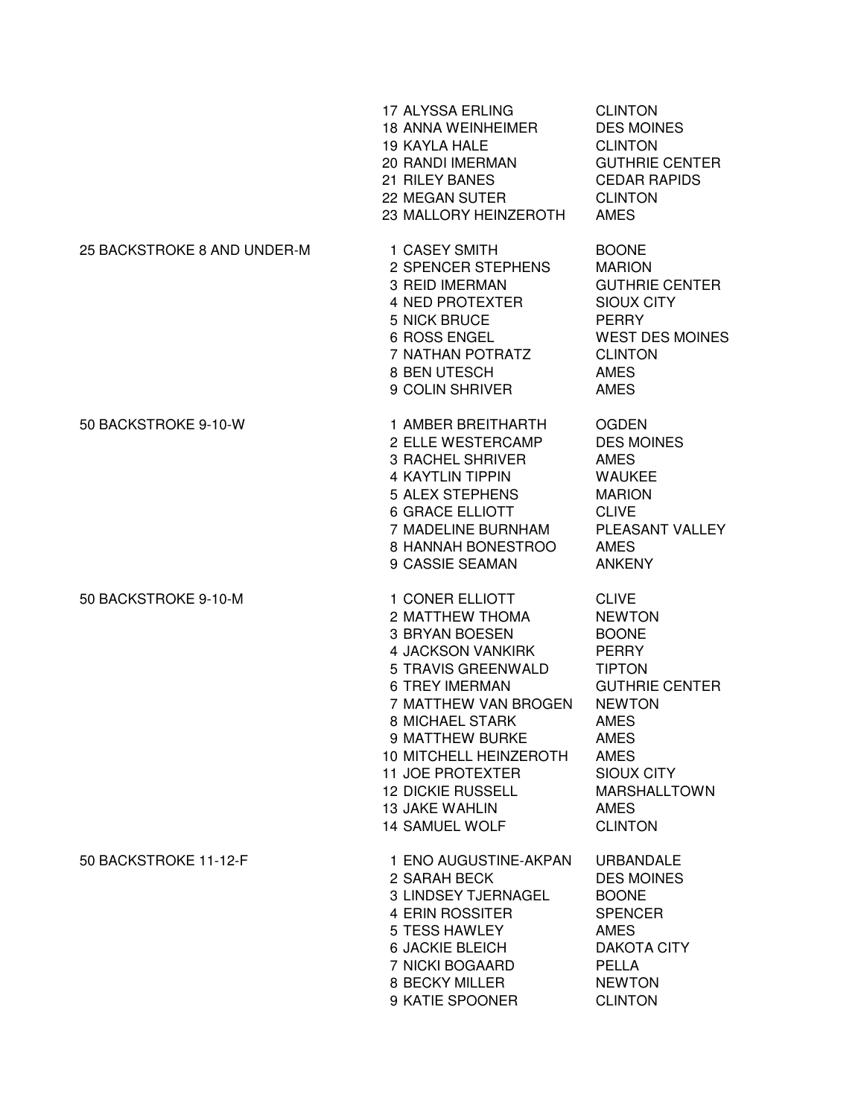|                             | 17 ALYSSA ERLING<br><b>18 ANNA WEINHEIMER</b><br><b>19 KAYLA HALE</b><br>20 RANDI IMERMAN<br>21 RILEY BANES<br>22 MEGAN SUTER<br>23 MALLORY HEINZEROTH                                                                                                                                                                           | <b>CLINTON</b><br><b>DES MOINES</b><br><b>CLINTON</b><br><b>GUTHRIE CENTER</b><br><b>CEDAR RAPIDS</b><br><b>CLINTON</b><br><b>AMES</b>                                                                                        |
|-----------------------------|----------------------------------------------------------------------------------------------------------------------------------------------------------------------------------------------------------------------------------------------------------------------------------------------------------------------------------|-------------------------------------------------------------------------------------------------------------------------------------------------------------------------------------------------------------------------------|
| 25 BACKSTROKE 8 AND UNDER-M | 1 CASEY SMITH<br>2 SPENCER STEPHENS<br><b>3 REID IMERMAN</b><br><b>4 NED PROTEXTER</b><br>5 NICK BRUCE<br>6 ROSS ENGEL<br>7 NATHAN POTRATZ<br>8 BEN UTESCH<br>9 COLIN SHRIVER                                                                                                                                                    | <b>BOONE</b><br><b>MARION</b><br><b>GUTHRIE CENTER</b><br><b>SIOUX CITY</b><br><b>PERRY</b><br><b>WEST DES MOINES</b><br><b>CLINTON</b><br><b>AMES</b><br><b>AMES</b>                                                         |
| 50 BACKSTROKE 9-10-W        | 1 AMBER BREITHARTH<br>2 ELLE WESTERCAMP<br><b>3 RACHEL SHRIVER</b><br><b>4 KAYTLIN TIPPIN</b><br><b>5 ALEX STEPHENS</b><br><b>6 GRACE ELLIOTT</b><br>7 MADELINE BURNHAM<br>8 HANNAH BONESTROO<br>9 CASSIE SEAMAN                                                                                                                 | <b>OGDEN</b><br><b>DES MOINES</b><br><b>AMES</b><br><b>WAUKEE</b><br><b>MARION</b><br><b>CLIVE</b><br>PLEASANT VALLEY<br><b>AMES</b><br><b>ANKENY</b>                                                                         |
| 50 BACKSTROKE 9-10-M        | 1 CONER ELLIOTT<br>2 MATTHEW THOMA<br><b>3 BRYAN BOESEN</b><br><b>4 JACKSON VANKIRK</b><br>5 TRAVIS GREENWALD<br><b>6 TREY IMERMAN</b><br>7 MATTHEW VAN BROGEN<br><b>8 MICHAEL STARK</b><br>9 MATTHEW BURKE<br>10 MITCHELL HEINZEROTH<br><b>11 JOE PROTEXTER</b><br><b>12 DICKIE RUSSELL</b><br>13 JAKE WAHLIN<br>14 SAMUEL WOLF | <b>CLIVE</b><br><b>NEWTON</b><br><b>BOONE</b><br><b>PERRY</b><br><b>TIPTON</b><br><b>GUTHRIE CENTER</b><br><b>NEWTON</b><br><b>AMES</b><br>AMES<br>AMES<br>SIOUX CITY<br><b>MARSHALLTOWN</b><br><b>AMES</b><br><b>CLINTON</b> |
| 50 BACKSTROKE 11-12-F       | 1 ENO AUGUSTINE-AKPAN<br>2 SARAH BECK<br>3 LINDSEY TJERNAGEL<br>4 ERIN ROSSITER<br>5 TESS HAWLEY<br><b>6 JACKIE BLEICH</b><br>7 NICKI BOGAARD<br>8 BECKY MILLER<br>9 KATIE SPOONER                                                                                                                                               | <b>URBANDALE</b><br><b>DES MOINES</b><br><b>BOONE</b><br><b>SPENCER</b><br><b>AMES</b><br><b>DAKOTA CITY</b><br><b>PELLA</b><br><b>NEWTON</b><br><b>CLINTON</b>                                                               |